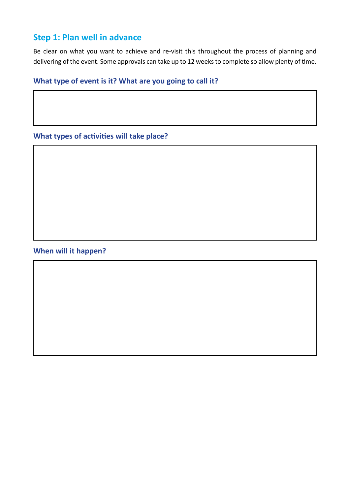# **Step 1: Plan well in advance**

Be clear on what you want to achieve and re-visit this throughout the process of planning and delivering of the event. Some approvals can take up to 12 weeks to complete so allow plenty of time.

#### **What type of event is it? What are you going to call it?**

### **What types of activities will take place?**

### **When will it happen?**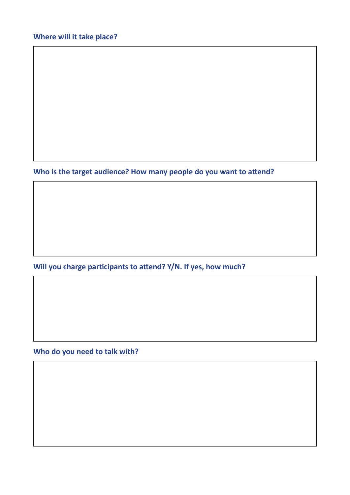**Who is the target audience? How many people do you want to attend?** 

**Will you charge participants to attend? Y/N. If yes, how much?**

**Who do you need to talk with?**